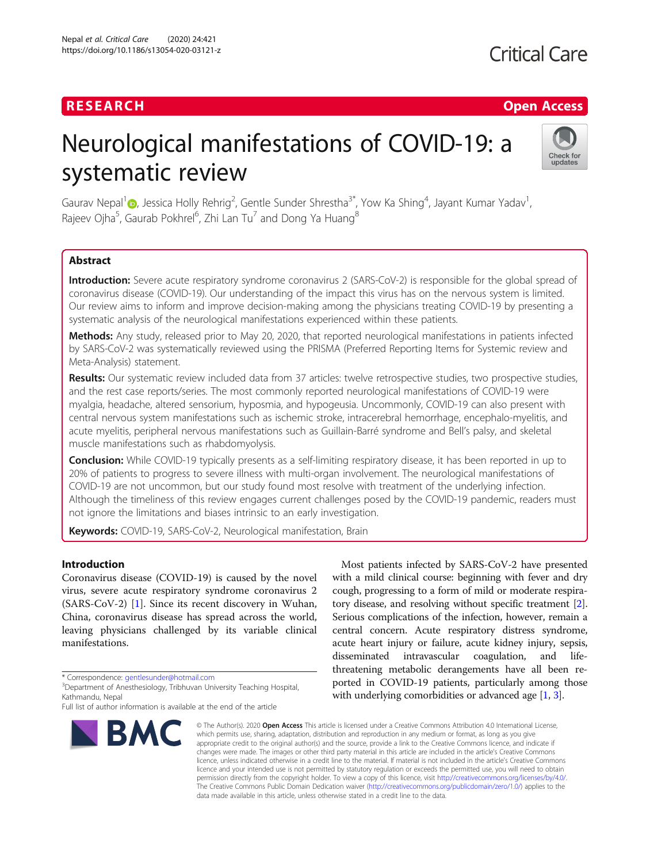## RESEARCH **RESEARCH CHANNEL EXECUTE ACCESS**

# Neurological manifestations of COVID-19: a systematic review



Gaurav Nepal<sup>1</sup> D[,](https://orcid.org/0000-0001-5054-2711) Jessica Holly Rehrig<sup>2</sup>, Gentle Sunder Shrestha<sup>3\*</sup>, Yow Ka Shing<sup>4</sup>, Jayant Kumar Yadav<sup>1</sup> , Rajeev Ojha $^5$ , Gaurab Pokhrel $^6$ , Zhi Lan Tu $^7$  and Dong Ya Huang $^8$ 

### Abstract

Introduction: Severe acute respiratory syndrome coronavirus 2 (SARS-CoV-2) is responsible for the global spread of coronavirus disease (COVID-19). Our understanding of the impact this virus has on the nervous system is limited. Our review aims to inform and improve decision-making among the physicians treating COVID-19 by presenting a systematic analysis of the neurological manifestations experienced within these patients.

Methods: Any study, released prior to May 20, 2020, that reported neurological manifestations in patients infected by SARS-CoV-2 was systematically reviewed using the PRISMA (Preferred Reporting Items for Systemic review and Meta-Analysis) statement.

Results: Our systematic review included data from 37 articles: twelve retrospective studies, two prospective studies, and the rest case reports/series. The most commonly reported neurological manifestations of COVID-19 were myalgia, headache, altered sensorium, hyposmia, and hypogeusia. Uncommonly, COVID-19 can also present with central nervous system manifestations such as ischemic stroke, intracerebral hemorrhage, encephalo-myelitis, and acute myelitis, peripheral nervous manifestations such as Guillain-Barré syndrome and Bell's palsy, and skeletal muscle manifestations such as rhabdomyolysis.

**Conclusion:** While COVID-19 typically presents as a self-limiting respiratory disease, it has been reported in up to 20% of patients to progress to severe illness with multi-organ involvement. The neurological manifestations of COVID-19 are not uncommon, but our study found most resolve with treatment of the underlying infection. Although the timeliness of this review engages current challenges posed by the COVID-19 pandemic, readers must not ignore the limitations and biases intrinsic to an early investigation.

Keywords: COVID-19, SARS-CoV-2, Neurological manifestation, Brain

#### Introduction

Coronavirus disease (COVID-19) is caused by the novel virus, severe acute respiratory syndrome coronavirus 2 (SARS-CoV-2) [\[1](#page-9-0)]. Since its recent discovery in Wuhan, China, coronavirus disease has spread across the world, leaving physicians challenged by its variable clinical manifestations.

Full list of author information is available at the end of the article



Most patients infected by SARS-CoV-2 have presented with a mild clinical course: beginning with fever and dry cough, progressing to a form of mild or moderate respiratory disease, and resolving without specific treatment [[2](#page-9-0)]. Serious complications of the infection, however, remain a central concern. Acute respiratory distress syndrome, acute heart injury or failure, acute kidney injury, sepsis, disseminated intravascular coagulation, and lifethreatening metabolic derangements have all been reported in COVID-19 patients, particularly among those with underlying comorbidities or advanced age [[1,](#page-9-0) [3](#page-9-0)].

© The Author(s), 2020 **Open Access** This article is licensed under a Creative Commons Attribution 4.0 International License, which permits use, sharing, adaptation, distribution and reproduction in any medium or format, as long as you give appropriate credit to the original author(s) and the source, provide a link to the Creative Commons licence, and indicate if changes were made. The images or other third party material in this article are included in the article's Creative Commons licence, unless indicated otherwise in a credit line to the material. If material is not included in the article's Creative Commons licence and your intended use is not permitted by statutory regulation or exceeds the permitted use, you will need to obtain permission directly from the copyright holder. To view a copy of this licence, visit [http://creativecommons.org/licenses/by/4.0/.](http://creativecommons.org/licenses/by/4.0/) The Creative Commons Public Domain Dedication waiver [\(http://creativecommons.org/publicdomain/zero/1.0/](http://creativecommons.org/publicdomain/zero/1.0/)) applies to the data made available in this article, unless otherwise stated in a credit line to the data.

<sup>\*</sup> Correspondence: [gentlesunder@hotmail.com](mailto:gentlesunder@hotmail.com) <sup>3</sup>

<sup>&</sup>lt;sup>3</sup>Department of Anesthesiology, Tribhuvan University Teaching Hospital, Kathmandu, Nepal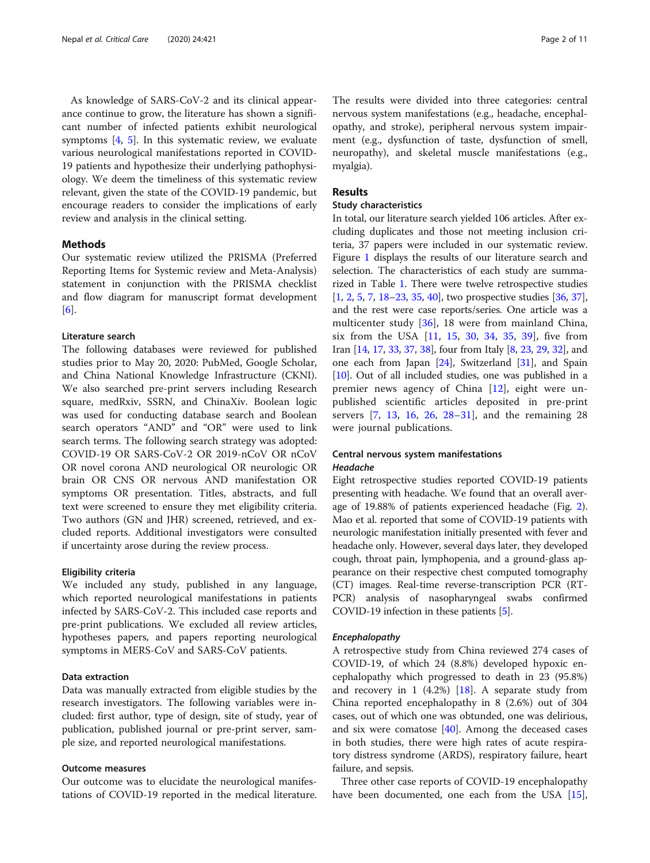As knowledge of SARS-CoV-2 and its clinical appearance continue to grow, the literature has shown a significant number of infected patients exhibit neurological symptoms  $[4, 5]$  $[4, 5]$  $[4, 5]$  $[4, 5]$ . In this systematic review, we evaluate various neurological manifestations reported in COVID-19 patients and hypothesize their underlying pathophysiology. We deem the timeliness of this systematic review relevant, given the state of the COVID-19 pandemic, but encourage readers to consider the implications of early review and analysis in the clinical setting.

#### Methods

Our systematic review utilized the PRISMA (Preferred Reporting Items for Systemic review and Meta-Analysis) statement in conjunction with the PRISMA checklist and flow diagram for manuscript format development [[6\]](#page-9-0).

#### Literature search

The following databases were reviewed for published studies prior to May 20, 2020: PubMed, Google Scholar, and China National Knowledge Infrastructure (CKNI). We also searched pre-print servers including Research square, medRxiv, SSRN, and ChinaXiv. Boolean logic was used for conducting database search and Boolean search operators "AND" and "OR" were used to link search terms. The following search strategy was adopted: COVID-19 OR SARS-CoV-2 OR 2019-nCoV OR nCoV OR novel corona AND neurological OR neurologic OR brain OR CNS OR nervous AND manifestation OR symptoms OR presentation. Titles, abstracts, and full text were screened to ensure they met eligibility criteria. Two authors (GN and JHR) screened, retrieved, and excluded reports. Additional investigators were consulted if uncertainty arose during the review process.

#### Eligibility criteria

We included any study, published in any language, which reported neurological manifestations in patients infected by SARS-CoV-2. This included case reports and pre-print publications. We excluded all review articles, hypotheses papers, and papers reporting neurological symptoms in MERS-CoV and SARS-CoV patients.

#### Data extraction

Data was manually extracted from eligible studies by the research investigators. The following variables were included: first author, type of design, site of study, year of publication, published journal or pre-print server, sample size, and reported neurological manifestations.

#### Outcome measures

Our outcome was to elucidate the neurological manifestations of COVID-19 reported in the medical literature.

The results were divided into three categories: central nervous system manifestations (e.g., headache, encephalopathy, and stroke), peripheral nervous system impairment (e.g., dysfunction of taste, dysfunction of smell, neuropathy), and skeletal muscle manifestations (e.g., myalgia).

#### Results

#### Study characteristics

In total, our literature search yielded 106 articles. After excluding duplicates and those not meeting inclusion criteria, 37 papers were included in our systematic review. Figure [1](#page-2-0) displays the results of our literature search and selection. The characteristics of each study are summarized in Table [1.](#page-3-0) There were twelve retrospective studies [[1,](#page-9-0) [2](#page-9-0), [5](#page-9-0), [7](#page-9-0), [18](#page-9-0)–[23](#page-9-0), [35,](#page-10-0) [40](#page-10-0)], two prospective studies [\[36,](#page-10-0) [37](#page-10-0)], and the rest were case reports/series. One article was a multicenter study [[36\]](#page-10-0), 18 were from mainland China, six from the USA [\[11](#page-9-0), [15](#page-9-0), [30,](#page-10-0) [34,](#page-10-0) [35](#page-10-0), [39](#page-10-0)], five from Iran [\[14,](#page-9-0) [17](#page-9-0), [33,](#page-10-0) [37](#page-10-0), [38\]](#page-10-0), four from Italy [\[8](#page-9-0), [23,](#page-9-0) [29](#page-10-0), [32\]](#page-10-0), and one each from Japan [\[24\]](#page-9-0), Switzerland [[31](#page-10-0)], and Spain [[10](#page-9-0)]. Out of all included studies, one was published in a premier news agency of China  $[12]$  $[12]$ , eight were unpublished scientific articles deposited in pre-print servers [[7,](#page-9-0) [13](#page-9-0), [16,](#page-9-0) [26,](#page-10-0) [28](#page-10-0)–[31](#page-10-0)], and the remaining 28 were journal publications.

#### Central nervous system manifestations Headache

Eight retrospective studies reported COVID-19 patients presenting with headache. We found that an overall average of 19.88% of patients experienced headache (Fig. [2](#page-5-0)). Mao et al. reported that some of COVID-19 patients with neurologic manifestation initially presented with fever and headache only. However, several days later, they developed cough, throat pain, lymphopenia, and a ground-glass appearance on their respective chest computed tomography (CT) images. Real-time reverse-transcription PCR (RT-PCR) analysis of nasopharyngeal swabs confirmed COVID-19 infection in these patients [\[5\]](#page-9-0).

#### Encephalopathy

A retrospective study from China reviewed 274 cases of COVID-19, of which 24 (8.8%) developed hypoxic encephalopathy which progressed to death in 23 (95.8%) and recovery in 1  $(4.2%)$  [[18\]](#page-9-0). A separate study from China reported encephalopathy in 8 (2.6%) out of 304 cases, out of which one was obtunded, one was delirious, and six were comatose  $[40]$  $[40]$  $[40]$ . Among the deceased cases in both studies, there were high rates of acute respiratory distress syndrome (ARDS), respiratory failure, heart failure, and sepsis.

Three other case reports of COVID-19 encephalopathy have been documented, one each from the USA [\[15](#page-9-0)],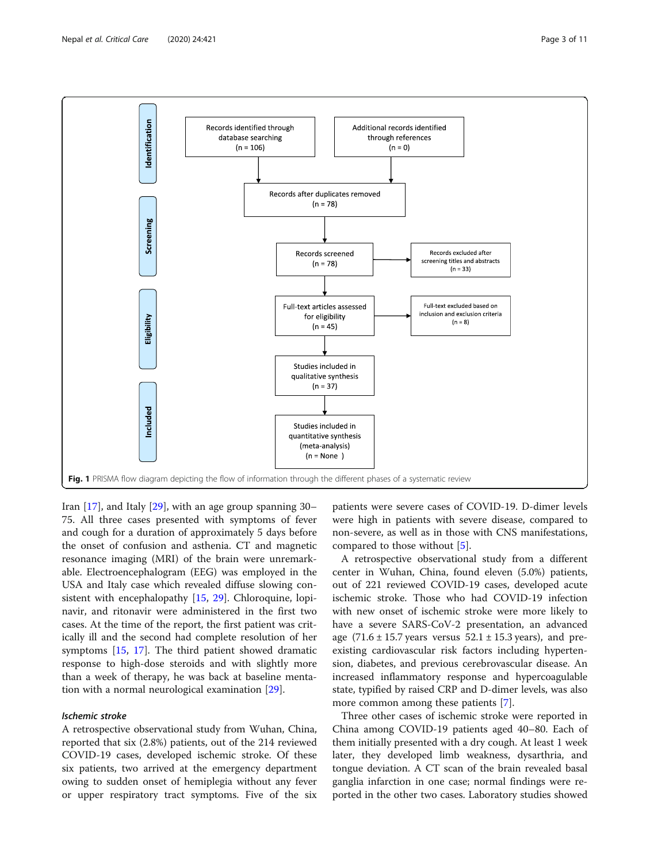<span id="page-2-0"></span>

Iran [[17](#page-9-0)], and Italy [[29](#page-10-0)], with an age group spanning 30– 75. All three cases presented with symptoms of fever and cough for a duration of approximately 5 days before the onset of confusion and asthenia. CT and magnetic resonance imaging (MRI) of the brain were unremarkable. Electroencephalogram (EEG) was employed in the USA and Italy case which revealed diffuse slowing con-sistent with encephalopathy [\[15](#page-9-0), [29](#page-10-0)]. Chloroquine, lopinavir, and ritonavir were administered in the first two cases. At the time of the report, the first patient was critically ill and the second had complete resolution of her symptoms [\[15,](#page-9-0) [17](#page-9-0)]. The third patient showed dramatic response to high-dose steroids and with slightly more than a week of therapy, he was back at baseline mentation with a normal neurological examination [\[29\]](#page-10-0).

#### Ischemic stroke

A retrospective observational study from Wuhan, China, reported that six (2.8%) patients, out of the 214 reviewed COVID-19 cases, developed ischemic stroke. Of these six patients, two arrived at the emergency department owing to sudden onset of hemiplegia without any fever or upper respiratory tract symptoms. Five of the six

patients were severe cases of COVID-19. D-dimer levels were high in patients with severe disease, compared to non-severe, as well as in those with CNS manifestations, compared to those without [[5\]](#page-9-0).

A retrospective observational study from a different center in Wuhan, China, found eleven (5.0%) patients, out of 221 reviewed COVID-19 cases, developed acute ischemic stroke. Those who had COVID-19 infection with new onset of ischemic stroke were more likely to have a severe SARS-CoV-2 presentation, an advanced age  $(71.6 \pm 15.7 \text{ years} \text{ versus } 52.1 \pm 15.3 \text{ years})$ , and preexisting cardiovascular risk factors including hypertension, diabetes, and previous cerebrovascular disease. An increased inflammatory response and hypercoagulable state, typified by raised CRP and D-dimer levels, was also more common among these patients [\[7](#page-9-0)].

Three other cases of ischemic stroke were reported in China among COVID-19 patients aged 40–80. Each of them initially presented with a dry cough. At least 1 week later, they developed limb weakness, dysarthria, and tongue deviation. A CT scan of the brain revealed basal ganglia infarction in one case; normal findings were reported in the other two cases. Laboratory studies showed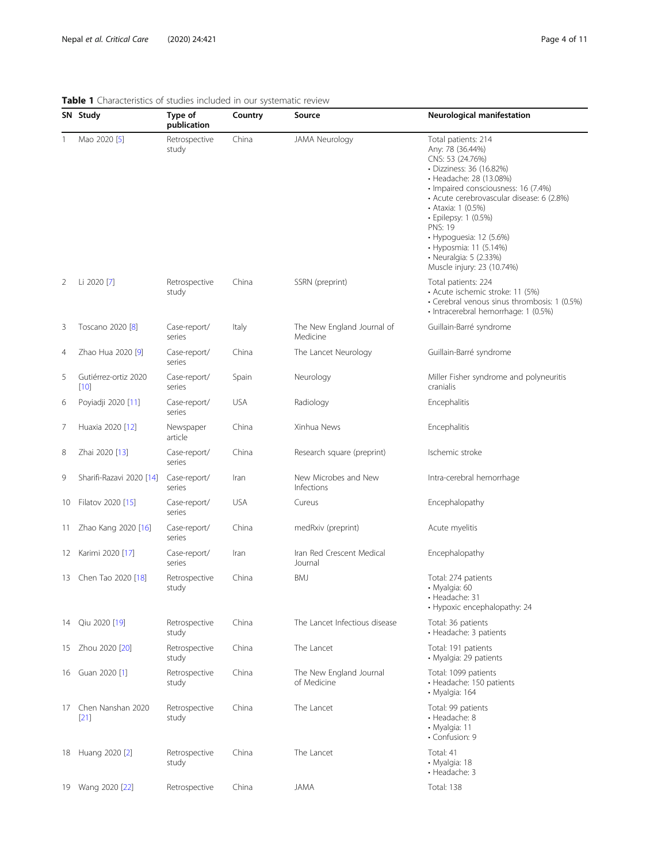|     | SN Study                     | Type of<br>publication | Country    | Source                                 | Neurological manifestation                                                                                                                                                                                                                                                                                                                                                          |
|-----|------------------------------|------------------------|------------|----------------------------------------|-------------------------------------------------------------------------------------------------------------------------------------------------------------------------------------------------------------------------------------------------------------------------------------------------------------------------------------------------------------------------------------|
| 1   | Mao 2020 [5]                 | Retrospective<br>study | China      | JAMA Neurology                         | Total patients: 214<br>Any: 78 (36.44%)<br>CNS: 53 (24.76%)<br>· Dizziness: 36 (16.82%)<br>• Headache: 28 (13.08%)<br>· Impaired consciousness: 16 (7.4%)<br>• Acute cerebrovascular disease: 6 (2.8%)<br>• Ataxia: 1 (0.5%)<br>· Epilepsy: 1 (0.5%)<br><b>PNS: 19</b><br>• Hypoguesia: 12 (5.6%)<br>• Hyposmia: 11 (5.14%)<br>• Neuralgia: 5 (2.33%)<br>Muscle injury: 23 (10.74%) |
| 2   | Li 2020 [7]                  | Retrospective<br>study | China      | SSRN (preprint)                        | Total patients: 224<br>· Acute ischemic stroke: 11 (5%)<br>· Cerebral venous sinus thrombosis: 1 (0.5%)<br>· Intracerebral hemorrhage: 1 (0.5%)                                                                                                                                                                                                                                     |
| 3   | Toscano 2020 [8]             | Case-report/<br>series | Italy      | The New England Journal of<br>Medicine | Guillain-Barré syndrome                                                                                                                                                                                                                                                                                                                                                             |
| 4   | Zhao Hua 2020 [9]            | Case-report/<br>series | China      | The Lancet Neurology                   | Guillain-Barré syndrome                                                                                                                                                                                                                                                                                                                                                             |
| 5   | Gutiérrez-ortiz 2020<br>[10] | Case-report/<br>series | Spain      | Neurology                              | Miller Fisher syndrome and polyneuritis<br>cranialis                                                                                                                                                                                                                                                                                                                                |
| 6   | Poyiadji 2020 [11]           | Case-report/<br>series | <b>USA</b> | Radiology                              | Encephalitis                                                                                                                                                                                                                                                                                                                                                                        |
| 7   | Huaxia 2020 [12]             | Newspaper<br>article   | China      | Xinhua News                            | Encephalitis                                                                                                                                                                                                                                                                                                                                                                        |
| 8   | Zhai 2020 [13]               | Case-report/<br>series | China      | Research square (preprint)             | Ischemic stroke                                                                                                                                                                                                                                                                                                                                                                     |
| 9   | Sharifi-Razavi 2020 [14]     | Case-report/<br>series | Iran       | New Microbes and New<br>Infections     | Intra-cerebral hemorrhage                                                                                                                                                                                                                                                                                                                                                           |
| 10  | Filatov 2020 [15]            | Case-report/<br>series | <b>USA</b> | Cureus                                 | Encephalopathy                                                                                                                                                                                                                                                                                                                                                                      |
| 11. | Zhao Kang 2020 [16]          | Case-report/<br>series | China      | medRxiv (preprint)                     | Acute myelitis                                                                                                                                                                                                                                                                                                                                                                      |
| 12  | Karimi 2020 [17]             | Case-report/<br>series | Iran       | Iran Red Crescent Medical<br>Journal   | Encephalopathy                                                                                                                                                                                                                                                                                                                                                                      |
| 13  | Chen Tao 2020 [18]           | Retrospective<br>study | China      | <b>BMJ</b>                             | Total: 274 patients<br>· Myalgia: 60<br>• Headache: 31<br>• Hypoxic encephalopathy: 24                                                                                                                                                                                                                                                                                              |
|     | 14 Qiu 2020 [19]             | Retrospective<br>study | China      | The Lancet Infectious disease          | Total: 36 patients<br>• Headache: 3 patients                                                                                                                                                                                                                                                                                                                                        |
| 15  | Zhou 2020 [20]               | Retrospective<br>study | China      | The Lancet                             | Total: 191 patients<br>• Myalgia: 29 patients                                                                                                                                                                                                                                                                                                                                       |
|     | 16 Guan 2020 [1]             | Retrospective<br>study | China      | The New England Journal<br>of Medicine | Total: 1099 patients<br>· Headache: 150 patients<br>• Myalgia: 164                                                                                                                                                                                                                                                                                                                  |
| 17  | Chen Nanshan 2020<br>$[21]$  | Retrospective<br>study | China      | The Lancet                             | Total: 99 patients<br>· Headache: 8<br>· Myalgia: 11<br>• Confusion: 9                                                                                                                                                                                                                                                                                                              |
|     | 18 Huang 2020 [2]            | Retrospective<br>study | China      | The Lancet                             | Total: 41<br>• Myalgia: 18<br>• Headache: 3                                                                                                                                                                                                                                                                                                                                         |
|     | 19 Wang 2020 [22]            | Retrospective          | China      | JAMA                                   | Total: 138                                                                                                                                                                                                                                                                                                                                                                          |

#### <span id="page-3-0"></span>Table 1 Characteristics of studies included in our systematic review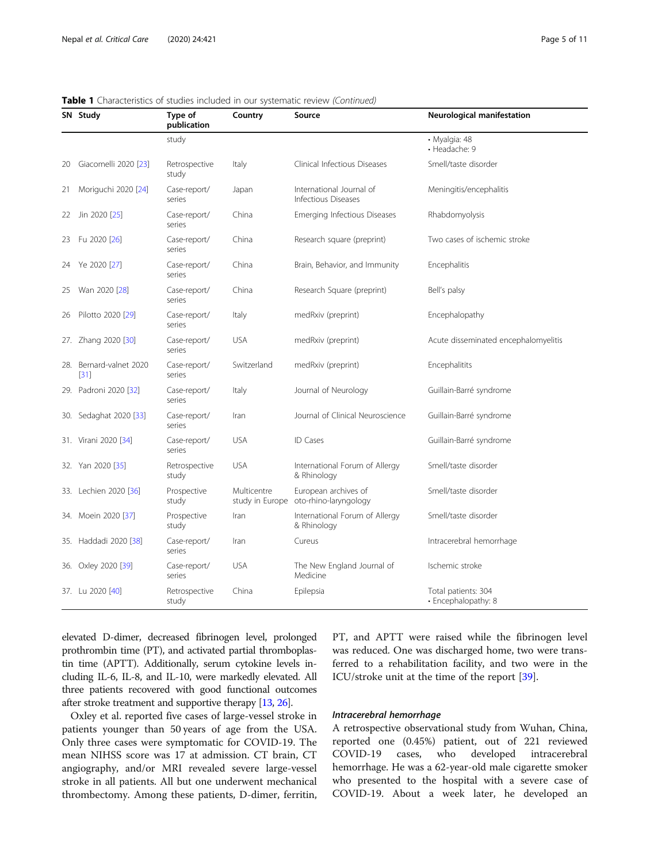|     | SN Study                    | Type of<br>publication | Country     | Source                                                        | Neurological manifestation                 |
|-----|-----------------------------|------------------------|-------------|---------------------------------------------------------------|--------------------------------------------|
|     |                             | study                  |             |                                                               | · Myalgia: 48<br>• Headache: 9             |
| 20  | Giacomelli 2020 [23]        | Retrospective<br>study | Italy       | Clinical Infectious Diseases                                  | Smell/taste disorder                       |
| 21  | Moriguchi 2020 [24]         | Case-report/<br>series | Japan       | International Journal of<br>Infectious Diseases               | Meningitis/encephalitis                    |
| 22  | Jin 2020 [25]               | Case-report/<br>series | China       | <b>Emerging Infectious Diseases</b>                           | Rhabdomyolysis                             |
| 23  | Fu 2020 [26]                | Case-report/<br>series | China       | Research square (preprint)                                    | Two cases of ischemic stroke               |
| 24  | Ye 2020 [27]                | Case-report/<br>series | China       | Brain, Behavior, and Immunity                                 | Encephalitis                               |
| 25  | Wan 2020 [28]               | Case-report/<br>series | China       | Research Square (preprint)                                    | Bell's palsy                               |
| 26  | Pilotto 2020 [29]           | Case-report/<br>series | Italy       | medRxiv (preprint)                                            | Encephalopathy                             |
|     | 27. Zhang 2020 [30]         | Case-report/<br>series | <b>USA</b>  | medRxiv (preprint)                                            | Acute disseminated encephalomyelitis       |
| 28. | Bernard-valnet 2020<br>[31] | Case-report/<br>series | Switzerland | medRxiv (preprint)                                            | Encephalitits                              |
|     | 29. Padroni 2020 [32]       | Case-report/<br>series | Italy       | Journal of Neurology                                          | Guillain-Barré syndrome                    |
|     | 30. Sedaghat 2020 [33]      | Case-report/<br>series | Iran        | Journal of Clinical Neuroscience                              | Guillain-Barré syndrome                    |
|     | 31. Virani 2020 [34]        | Case-report/<br>series | <b>USA</b>  | <b>ID Cases</b>                                               | Guillain-Barré syndrome                    |
|     | 32. Yan 2020 [35]           | Retrospective<br>study | <b>USA</b>  | International Forum of Allergy<br>& Rhinology                 | Smell/taste disorder                       |
|     | 33. Lechien 2020 [36]       | Prospective<br>study   | Multicentre | European archives of<br>study in Europe oto-rhino-laryngology | Smell/taste disorder                       |
|     | 34. Moein 2020 [37]         | Prospective<br>study   | Iran        | International Forum of Allergy<br>& Rhinology                 | Smell/taste disorder                       |
|     | 35. Haddadi 2020 [38]       | Case-report/<br>series | Iran        | Cureus                                                        | Intracerebral hemorrhage                   |
|     | 36. Oxley 2020 [39]         | Case-report/<br>series | <b>USA</b>  | The New England Journal of<br>Medicine                        | Ischemic stroke                            |
|     | 37. Lu 2020 [40]            | Retrospective<br>study | China       | Epilepsia                                                     | Total patients: 304<br>· Encephalopathy: 8 |

Table 1 Characteristics of studies included in our systematic review (Continued)

elevated D-dimer, decreased fibrinogen level, prolonged prothrombin time (PT), and activated partial thromboplastin time (APTT). Additionally, serum cytokine levels including IL-6, IL-8, and IL-10, were markedly elevated. All three patients recovered with good functional outcomes after stroke treatment and supportive therapy [\[13,](#page-9-0) [26\]](#page-10-0).

Oxley et al. reported five cases of large-vessel stroke in patients younger than 50 years of age from the USA. Only three cases were symptomatic for COVID-19. The mean NIHSS score was 17 at admission. CT brain, CT angiography, and/or MRI revealed severe large-vessel stroke in all patients. All but one underwent mechanical thrombectomy. Among these patients, D-dimer, ferritin, PT, and APTT were raised while the fibrinogen level was reduced. One was discharged home, two were transferred to a rehabilitation facility, and two were in the ICU/stroke unit at the time of the report [\[39](#page-10-0)].

#### Intracerebral hemorrhage

A retrospective observational study from Wuhan, China, reported one (0.45%) patient, out of 221 reviewed COVID-19 cases, who developed intracerebral hemorrhage. He was a 62-year-old male cigarette smoker who presented to the hospital with a severe case of COVID-19. About a week later, he developed an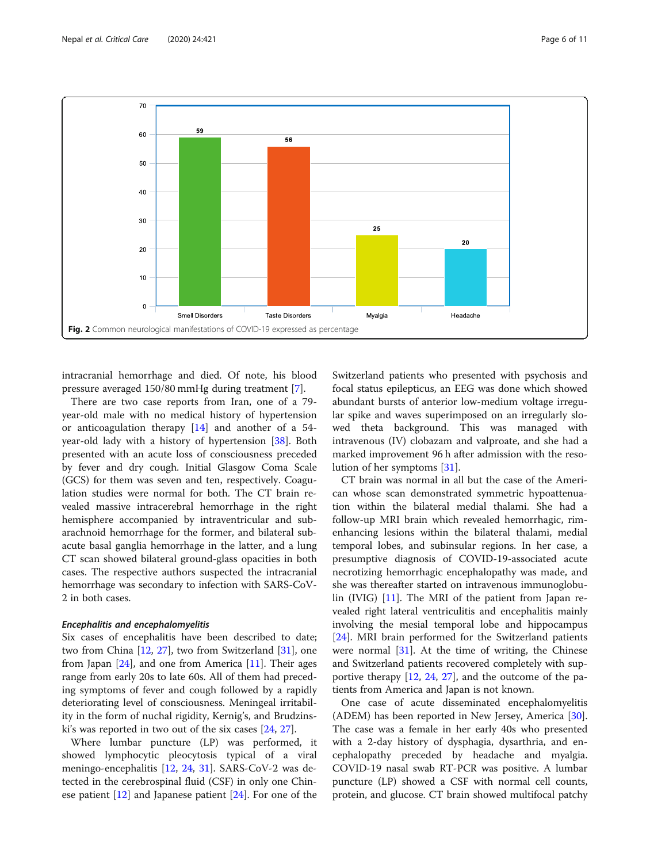<span id="page-5-0"></span>

intracranial hemorrhage and died. Of note, his blood pressure averaged 150/80 mmHg during treatment [\[7](#page-9-0)].

There are two case reports from Iran, one of a 79 year-old male with no medical history of hypertension or anticoagulation therapy [\[14\]](#page-9-0) and another of a 54 year-old lady with a history of hypertension [[38](#page-10-0)]. Both presented with an acute loss of consciousness preceded by fever and dry cough. Initial Glasgow Coma Scale (GCS) for them was seven and ten, respectively. Coagulation studies were normal for both. The CT brain revealed massive intracerebral hemorrhage in the right hemisphere accompanied by intraventricular and subarachnoid hemorrhage for the former, and bilateral subacute basal ganglia hemorrhage in the latter, and a lung CT scan showed bilateral ground-glass opacities in both cases. The respective authors suspected the intracranial hemorrhage was secondary to infection with SARS-CoV-2 in both cases.

#### Encephalitis and encephalomyelitis

Six cases of encephalitis have been described to date; two from China [[12,](#page-9-0) [27\]](#page-10-0), two from Switzerland [\[31](#page-10-0)], one from Japan  $[24]$ , and one from America  $[11]$  $[11]$ . Their ages range from early 20s to late 60s. All of them had preceding symptoms of fever and cough followed by a rapidly deteriorating level of consciousness. Meningeal irritability in the form of nuchal rigidity, Kernig's, and Brudzinski's was reported in two out of the six cases [[24,](#page-9-0) [27\]](#page-10-0).

Where lumbar puncture (LP) was performed, it showed lymphocytic pleocytosis typical of a viral meningo-encephalitis [\[12,](#page-9-0) [24,](#page-9-0) [31](#page-10-0)]. SARS-CoV-2 was detected in the cerebrospinal fluid (CSF) in only one Chinese patient [[12\]](#page-9-0) and Japanese patient [[24](#page-9-0)]. For one of the Switzerland patients who presented with psychosis and focal status epilepticus, an EEG was done which showed abundant bursts of anterior low-medium voltage irregular spike and waves superimposed on an irregularly slowed theta background. This was managed with intravenous (IV) clobazam and valproate, and she had a marked improvement 96 h after admission with the resolution of her symptoms [[31\]](#page-10-0).

CT brain was normal in all but the case of the American whose scan demonstrated symmetric hypoattenuation within the bilateral medial thalami. She had a follow-up MRI brain which revealed hemorrhagic, rimenhancing lesions within the bilateral thalami, medial temporal lobes, and subinsular regions. In her case, a presumptive diagnosis of COVID-19-associated acute necrotizing hemorrhagic encephalopathy was made, and she was thereafter started on intravenous immunoglobulin (IVIG) [\[11](#page-9-0)]. The MRI of the patient from Japan revealed right lateral ventriculitis and encephalitis mainly involving the mesial temporal lobe and hippocampus [[24\]](#page-9-0). MRI brain performed for the Switzerland patients were normal [[31\]](#page-10-0). At the time of writing, the Chinese and Switzerland patients recovered completely with supportive therapy [\[12,](#page-9-0) [24](#page-9-0), [27\]](#page-10-0), and the outcome of the patients from America and Japan is not known.

One case of acute disseminated encephalomyelitis (ADEM) has been reported in New Jersey, America [\[30](#page-10-0)]. The case was a female in her early 40s who presented with a 2-day history of dysphagia, dysarthria, and encephalopathy preceded by headache and myalgia. COVID-19 nasal swab RT-PCR was positive. A lumbar puncture (LP) showed a CSF with normal cell counts, protein, and glucose. CT brain showed multifocal patchy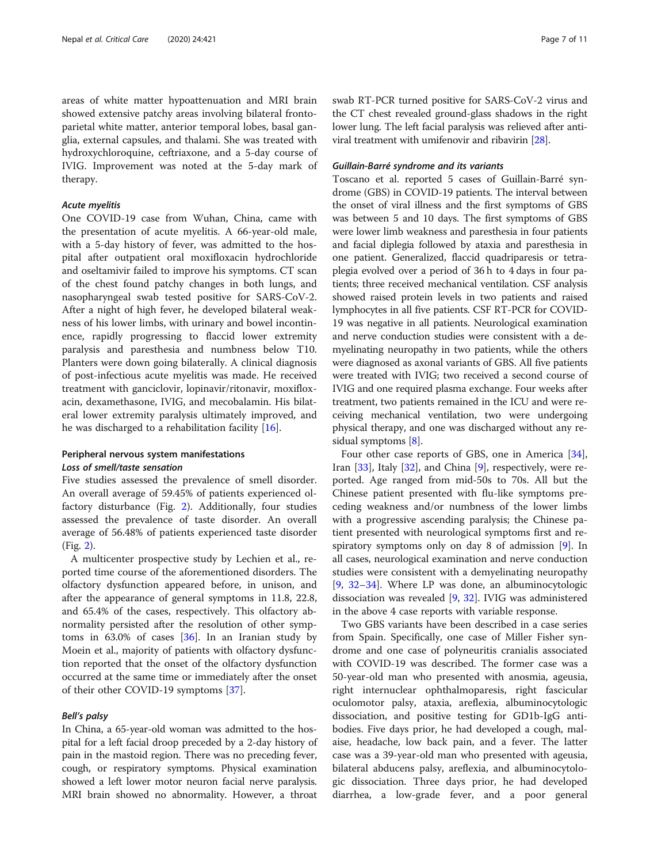areas of white matter hypoattenuation and MRI brain showed extensive patchy areas involving bilateral frontoparietal white matter, anterior temporal lobes, basal ganglia, external capsules, and thalami. She was treated with hydroxychloroquine, ceftriaxone, and a 5-day course of IVIG. Improvement was noted at the 5-day mark of therapy.

#### Acute myelitis

One COVID-19 case from Wuhan, China, came with the presentation of acute myelitis. A 66-year-old male, with a 5-day history of fever, was admitted to the hospital after outpatient oral moxifloxacin hydrochloride and oseltamivir failed to improve his symptoms. CT scan of the chest found patchy changes in both lungs, and nasopharyngeal swab tested positive for SARS-CoV-2. After a night of high fever, he developed bilateral weakness of his lower limbs, with urinary and bowel incontinence, rapidly progressing to flaccid lower extremity paralysis and paresthesia and numbness below T10. Planters were down going bilaterally. A clinical diagnosis of post-infectious acute myelitis was made. He received treatment with ganciclovir, lopinavir/ritonavir, moxifloxacin, dexamethasone, IVIG, and mecobalamin. His bilateral lower extremity paralysis ultimately improved, and he was discharged to a rehabilitation facility [[16\]](#page-9-0).

#### Peripheral nervous system manifestations Loss of smell/taste sensation

Five studies assessed the prevalence of smell disorder. An overall average of 59.45% of patients experienced olfactory disturbance (Fig. [2](#page-5-0)). Additionally, four studies assessed the prevalence of taste disorder. An overall average of 56.48% of patients experienced taste disorder (Fig. [2](#page-5-0)).

A multicenter prospective study by Lechien et al., reported time course of the aforementioned disorders. The olfactory dysfunction appeared before, in unison, and after the appearance of general symptoms in 11.8, 22.8, and 65.4% of the cases, respectively. This olfactory abnormality persisted after the resolution of other symptoms in  $63.0\%$  of cases  $[36]$  $[36]$ . In an Iranian study by Moein et al., majority of patients with olfactory dysfunction reported that the onset of the olfactory dysfunction occurred at the same time or immediately after the onset of their other COVID-19 symptoms [\[37\]](#page-10-0).

#### Bell's palsy

In China, a 65-year-old woman was admitted to the hospital for a left facial droop preceded by a 2-day history of pain in the mastoid region. There was no preceding fever, cough, or respiratory symptoms. Physical examination showed a left lower motor neuron facial nerve paralysis. MRI brain showed no abnormality. However, a throat swab RT-PCR turned positive for SARS-CoV-2 virus and the CT chest revealed ground-glass shadows in the right lower lung. The left facial paralysis was relieved after antiviral treatment with umifenovir and ribavirin [[28](#page-10-0)].

#### Guillain-Barré syndrome and its variants

Toscano et al. reported 5 cases of Guillain-Barré syndrome (GBS) in COVID-19 patients. The interval between the onset of viral illness and the first symptoms of GBS was between 5 and 10 days. The first symptoms of GBS were lower limb weakness and paresthesia in four patients and facial diplegia followed by ataxia and paresthesia in one patient. Generalized, flaccid quadriparesis or tetraplegia evolved over a period of 36 h to 4 days in four patients; three received mechanical ventilation. CSF analysis showed raised protein levels in two patients and raised lymphocytes in all five patients. CSF RT-PCR for COVID-19 was negative in all patients. Neurological examination and nerve conduction studies were consistent with a demyelinating neuropathy in two patients, while the others were diagnosed as axonal variants of GBS. All five patients were treated with IVIG; two received a second course of IVIG and one required plasma exchange. Four weeks after treatment, two patients remained in the ICU and were receiving mechanical ventilation, two were undergoing physical therapy, and one was discharged without any residual symptoms [\[8](#page-9-0)].

Four other case reports of GBS, one in America [\[34](#page-10-0)], Iran [[33\]](#page-10-0), Italy [[32](#page-10-0)], and China [[9\]](#page-9-0), respectively, were reported. Age ranged from mid-50s to 70s. All but the Chinese patient presented with flu-like symptoms preceding weakness and/or numbness of the lower limbs with a progressive ascending paralysis; the Chinese patient presented with neurological symptoms first and respiratory symptoms only on day 8 of admission [\[9](#page-9-0)]. In all cases, neurological examination and nerve conduction studies were consistent with a demyelinating neuropathy [[9,](#page-9-0) [32](#page-10-0)–[34](#page-10-0)]. Where LP was done, an albuminocytologic dissociation was revealed [[9](#page-9-0), [32\]](#page-10-0). IVIG was administered in the above 4 case reports with variable response.

Two GBS variants have been described in a case series from Spain. Specifically, one case of Miller Fisher syndrome and one case of polyneuritis cranialis associated with COVID-19 was described. The former case was a 50-year-old man who presented with anosmia, ageusia, right internuclear ophthalmoparesis, right fascicular oculomotor palsy, ataxia, areflexia, albuminocytologic dissociation, and positive testing for GD1b-IgG antibodies. Five days prior, he had developed a cough, malaise, headache, low back pain, and a fever. The latter case was a 39-year-old man who presented with ageusia, bilateral abducens palsy, areflexia, and albuminocytologic dissociation. Three days prior, he had developed diarrhea, a low-grade fever, and a poor general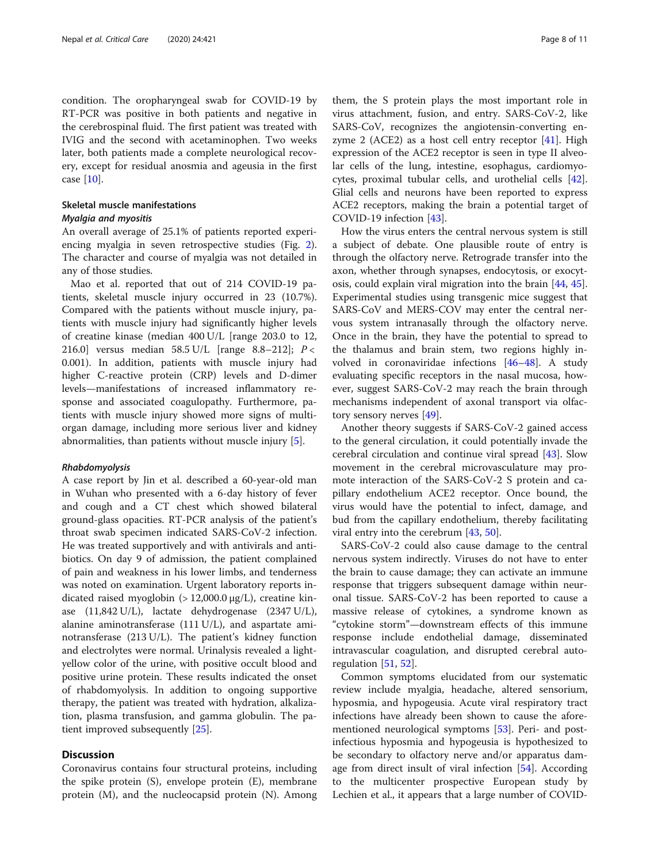condition. The oropharyngeal swab for COVID-19 by RT-PCR was positive in both patients and negative in the cerebrospinal fluid. The first patient was treated with IVIG and the second with acetaminophen. Two weeks later, both patients made a complete neurological recovery, except for residual anosmia and ageusia in the first case [[10\]](#page-9-0).

#### Skeletal muscle manifestations Myalgia and myositis

An overall average of 25.1% of patients reported experiencing myalgia in seven retrospective studies (Fig. [2](#page-5-0)). The character and course of myalgia was not detailed in any of those studies.

Mao et al. reported that out of 214 COVID-19 patients, skeletal muscle injury occurred in 23 (10.7%). Compared with the patients without muscle injury, patients with muscle injury had significantly higher levels of creatine kinase (median 400 U/L [range 203.0 to 12, 216.0] versus median 58.5 U/L [range 8.8–212]; P < 0.001). In addition, patients with muscle injury had higher C-reactive protein (CRP) levels and D-dimer levels—manifestations of increased inflammatory response and associated coagulopathy. Furthermore, patients with muscle injury showed more signs of multiorgan damage, including more serious liver and kidney abnormalities, than patients without muscle injury [\[5](#page-9-0)].

#### Rhabdomyolysis

A case report by Jin et al. described a 60-year-old man in Wuhan who presented with a 6-day history of fever and cough and a CT chest which showed bilateral ground-glass opacities. RT-PCR analysis of the patient's throat swab specimen indicated SARS-CoV-2 infection. He was treated supportively and with antivirals and antibiotics. On day 9 of admission, the patient complained of pain and weakness in his lower limbs, and tenderness was noted on examination. Urgent laboratory reports indicated raised myoglobin (> 12,000.0 μg/L), creatine kinase (11,842 U/L), lactate dehydrogenase (2347 U/L), alanine aminotransferase (111 U/L), and aspartate aminotransferase (213 U/L). The patient's kidney function and electrolytes were normal. Urinalysis revealed a lightyellow color of the urine, with positive occult blood and positive urine protein. These results indicated the onset of rhabdomyolysis. In addition to ongoing supportive therapy, the patient was treated with hydration, alkalization, plasma transfusion, and gamma globulin. The patient improved subsequently [\[25\]](#page-10-0).

#### **Discussion**

Coronavirus contains four structural proteins, including the spike protein (S), envelope protein (E), membrane protein (M), and the nucleocapsid protein (N). Among

them, the S protein plays the most important role in virus attachment, fusion, and entry. SARS-CoV-2, like SARS-CoV, recognizes the angiotensin-converting enzyme 2 (ACE2) as a host cell entry receptor  $[41]$  $[41]$ . High expression of the ACE2 receptor is seen in type II alveolar cells of the lung, intestine, esophagus, cardiomyocytes, proximal tubular cells, and urothelial cells [\[42](#page-10-0)]. Glial cells and neurons have been reported to express ACE2 receptors, making the brain a potential target of COVID-19 infection [[43](#page-10-0)].

How the virus enters the central nervous system is still a subject of debate. One plausible route of entry is through the olfactory nerve. Retrograde transfer into the axon, whether through synapses, endocytosis, or exocytosis, could explain viral migration into the brain [[44](#page-10-0), [45](#page-10-0)]. Experimental studies using transgenic mice suggest that SARS-CoV and MERS-COV may enter the central nervous system intranasally through the olfactory nerve. Once in the brain, they have the potential to spread to the thalamus and brain stem, two regions highly involved in coronaviridae infections [[46](#page-10-0)–[48\]](#page-10-0). A study evaluating specific receptors in the nasal mucosa, however, suggest SARS-CoV-2 may reach the brain through mechanisms independent of axonal transport via olfactory sensory nerves [[49\]](#page-10-0).

Another theory suggests if SARS-CoV-2 gained access to the general circulation, it could potentially invade the cerebral circulation and continue viral spread [\[43](#page-10-0)]. Slow movement in the cerebral microvasculature may promote interaction of the SARS-CoV-2 S protein and capillary endothelium ACE2 receptor. Once bound, the virus would have the potential to infect, damage, and bud from the capillary endothelium, thereby facilitating viral entry into the cerebrum [[43](#page-10-0), [50](#page-10-0)].

SARS-CoV-2 could also cause damage to the central nervous system indirectly. Viruses do not have to enter the brain to cause damage; they can activate an immune response that triggers subsequent damage within neuronal tissue. SARS-CoV-2 has been reported to cause a massive release of cytokines, a syndrome known as "cytokine storm"—downstream effects of this immune response include endothelial damage, disseminated intravascular coagulation, and disrupted cerebral autoregulation  $[51, 52]$  $[51, 52]$  $[51, 52]$ .

Common symptoms elucidated from our systematic review include myalgia, headache, altered sensorium, hyposmia, and hypogeusia. Acute viral respiratory tract infections have already been shown to cause the aforementioned neurological symptoms [[53\]](#page-10-0). Peri- and postinfectious hyposmia and hypogeusia is hypothesized to be secondary to olfactory nerve and/or apparatus damage from direct insult of viral infection [[54\]](#page-10-0). According to the multicenter prospective European study by Lechien et al., it appears that a large number of COVID-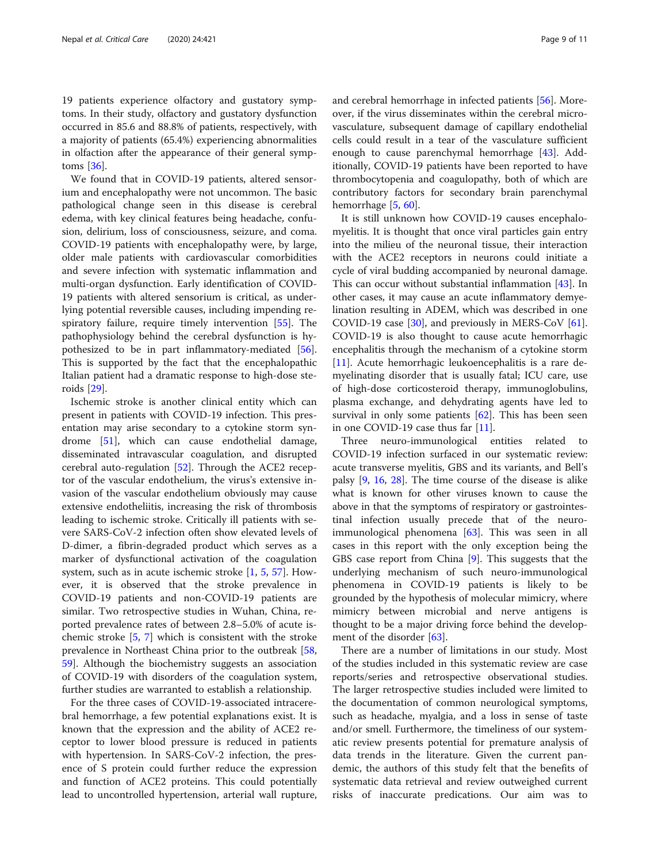19 patients experience olfactory and gustatory symptoms. In their study, olfactory and gustatory dysfunction occurred in 85.6 and 88.8% of patients, respectively, with a majority of patients (65.4%) experiencing abnormalities in olfaction after the appearance of their general symptoms [\[36\]](#page-10-0).

We found that in COVID-19 patients, altered sensorium and encephalopathy were not uncommon. The basic pathological change seen in this disease is cerebral edema, with key clinical features being headache, confusion, delirium, loss of consciousness, seizure, and coma. COVID-19 patients with encephalopathy were, by large, older male patients with cardiovascular comorbidities and severe infection with systematic inflammation and multi-organ dysfunction. Early identification of COVID-19 patients with altered sensorium is critical, as underlying potential reversible causes, including impending respiratory failure, require timely intervention [[55\]](#page-10-0). The pathophysiology behind the cerebral dysfunction is hypothesized to be in part inflammatory-mediated [\[56](#page-10-0)]. This is supported by the fact that the encephalopathic Italian patient had a dramatic response to high-dose steroids [\[29\]](#page-10-0).

Ischemic stroke is another clinical entity which can present in patients with COVID-19 infection. This presentation may arise secondary to a cytokine storm syndrome [[51\]](#page-10-0), which can cause endothelial damage, disseminated intravascular coagulation, and disrupted cerebral auto-regulation [[52](#page-10-0)]. Through the ACE2 receptor of the vascular endothelium, the virus's extensive invasion of the vascular endothelium obviously may cause extensive endotheliitis, increasing the risk of thrombosis leading to ischemic stroke. Critically ill patients with severe SARS-CoV-2 infection often show elevated levels of D-dimer, a fibrin-degraded product which serves as a marker of dysfunctional activation of the coagulation system, such as in acute ischemic stroke [[1,](#page-9-0) [5,](#page-9-0) [57](#page-10-0)]. However, it is observed that the stroke prevalence in COVID-19 patients and non-COVID-19 patients are similar. Two retrospective studies in Wuhan, China, reported prevalence rates of between 2.8–5.0% of acute ischemic stroke [[5](#page-9-0), [7](#page-9-0)] which is consistent with the stroke prevalence in Northeast China prior to the outbreak [[58](#page-10-0), [59\]](#page-10-0). Although the biochemistry suggests an association of COVID-19 with disorders of the coagulation system, further studies are warranted to establish a relationship.

For the three cases of COVID-19-associated intracerebral hemorrhage, a few potential explanations exist. It is known that the expression and the ability of ACE2 receptor to lower blood pressure is reduced in patients with hypertension. In SARS-CoV-2 infection, the presence of S protein could further reduce the expression and function of ACE2 proteins. This could potentially lead to uncontrolled hypertension, arterial wall rupture, and cerebral hemorrhage in infected patients [[56\]](#page-10-0). Moreover, if the virus disseminates within the cerebral microvasculature, subsequent damage of capillary endothelial cells could result in a tear of the vasculature sufficient enough to cause parenchymal hemorrhage [\[43\]](#page-10-0). Additionally, COVID-19 patients have been reported to have thrombocytopenia and coagulopathy, both of which are contributory factors for secondary brain parenchymal hemorrhage [[5,](#page-9-0) [60\]](#page-10-0).

It is still unknown how COVID-19 causes encephalomyelitis. It is thought that once viral particles gain entry into the milieu of the neuronal tissue, their interaction with the ACE2 receptors in neurons could initiate a cycle of viral budding accompanied by neuronal damage. This can occur without substantial inflammation [[43](#page-10-0)]. In other cases, it may cause an acute inflammatory demyelination resulting in ADEM, which was described in one COVID-19 case [\[30](#page-10-0)], and previously in MERS-CoV [\[61](#page-10-0)]. COVID-19 is also thought to cause acute hemorrhagic encephalitis through the mechanism of a cytokine storm [[11\]](#page-9-0). Acute hemorrhagic leukoencephalitis is a rare demyelinating disorder that is usually fatal; ICU care, use of high-dose corticosteroid therapy, immunoglobulins, plasma exchange, and dehydrating agents have led to survival in only some patients  $[62]$  $[62]$ . This has been seen in one COVID-19 case thus far [[11\]](#page-9-0).

Three neuro-immunological entities related to COVID-19 infection surfaced in our systematic review: acute transverse myelitis, GBS and its variants, and Bell's palsy [[9,](#page-9-0) [16](#page-9-0), [28](#page-10-0)]. The time course of the disease is alike what is known for other viruses known to cause the above in that the symptoms of respiratory or gastrointestinal infection usually precede that of the neuroimmunological phenomena [[63](#page-10-0)]. This was seen in all cases in this report with the only exception being the GBS case report from China [[9\]](#page-9-0). This suggests that the underlying mechanism of such neuro-immunological phenomena in COVID-19 patients is likely to be grounded by the hypothesis of molecular mimicry, where mimicry between microbial and nerve antigens is thought to be a major driving force behind the development of the disorder [\[63](#page-10-0)].

There are a number of limitations in our study. Most of the studies included in this systematic review are case reports/series and retrospective observational studies. The larger retrospective studies included were limited to the documentation of common neurological symptoms, such as headache, myalgia, and a loss in sense of taste and/or smell. Furthermore, the timeliness of our systematic review presents potential for premature analysis of data trends in the literature. Given the current pandemic, the authors of this study felt that the benefits of systematic data retrieval and review outweighed current risks of inaccurate predications. Our aim was to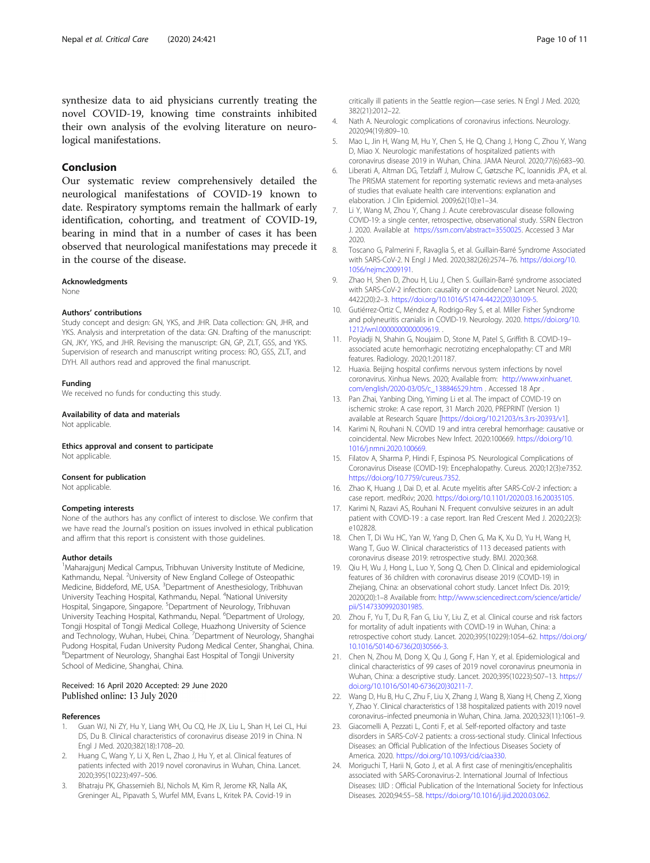<span id="page-9-0"></span>synthesize data to aid physicians currently treating the novel COVID-19, knowing time constraints inhibited their own analysis of the evolving literature on neurological manifestations.

#### Conclusion

Our systematic review comprehensively detailed the neurological manifestations of COVID-19 known to date. Respiratory symptoms remain the hallmark of early identification, cohorting, and treatment of COVID-19, bearing in mind that in a number of cases it has been observed that neurological manifestations may precede it in the course of the disease.

#### Acknowledgments

None

#### Authors' contributions

Study concept and design: GN, YKS, and JHR. Data collection: GN, JHR, and YKS. Analysis and interpretation of the data: GN. Drafting of the manuscript: GN, JKY, YKS, and JHR. Revising the manuscript: GN, GP, ZLT, GSS, and YKS. Supervision of research and manuscript writing process: RO, GSS, ZLT, and DYH. All authors read and approved the final manuscript.

#### Funding

We received no funds for conducting this study.

Availability of data and materials

Not applicable.

Ethics approval and consent to participate Not applicable.

#### Consent for publication

Not applicable.

#### Competing interests

None of the authors has any conflict of interest to disclose. We confirm that we have read the Journal's position on issues involved in ethical publication and affirm that this report is consistent with those guidelines.

#### Author details

<sup>1</sup>Maharajgunj Medical Campus, Tribhuvan University Institute of Medicine, Kathmandu, Nepal. <sup>2</sup>University of New England College of Osteopathic Medicine, Biddeford, ME, USA. <sup>3</sup>Department of Anesthesiology, Tribhuvan University Teaching Hospital, Kathmandu, Nepal. <sup>4</sup>National University Hospital, Singapore, Singapore. <sup>5</sup>Department of Neurology, Tribhuvan University Teaching Hospital, Kathmandu, Nepal. <sup>6</sup>Department of Urology, Tongji Hospital of Tongji Medical College, Huazhong University of Science and Technology, Wuhan, Hubei, China. <sup>7</sup>Department of Neurology, Shanghai Pudong Hospital, Fudan University Pudong Medical Center, Shanghai, China. 8 Department of Neurology, Shanghai East Hospital of Tongji University School of Medicine, Shanghai, China.

#### Received: 16 April 2020 Accepted: 29 June 2020 Published online: 13 July 2020

#### References

- 1. Guan WJ, Ni ZY, Hu Y, Liang WH, Ou CQ, He JX, Liu L, Shan H, Lei CL, Hui DS, Du B. Clinical characteristics of coronavirus disease 2019 in China. N Engl J Med. 2020;382(18):1708–20.
- 2. Huang C, Wang Y, Li X, Ren L, Zhao J, Hu Y, et al. Clinical features of patients infected with 2019 novel coronavirus in Wuhan, China. Lancet. 2020;395(10223):497–506.
- Bhatraju PK, Ghassemieh BJ, Nichols M, Kim R, Jerome KR, Nalla AK, Greninger AL, Pipavath S, Wurfel MM, Evans L, Kritek PA. Covid-19 in

critically ill patients in the Seattle region—case series. N Engl J Med. 2020; 382(21):2012–22.

- 4. Nath A. Neurologic complications of coronavirus infections. Neurology. 2020;94(19):809–10.
- 5. Mao L, Jin H, Wang M, Hu Y, Chen S, He Q, Chang J, Hong C, Zhou Y, Wang D, Miao X. Neurologic manifestations of hospitalized patients with coronavirus disease 2019 in Wuhan, China. JAMA Neurol. 2020;77(6):683–90.
- 6. Liberati A, Altman DG, Tetzlaff J, Mulrow C, Gøtzsche PC, Ioannidis JPA, et al. The PRISMA statement for reporting systematic reviews and meta-analyses of studies that evaluate health care interventions: explanation and elaboration. J Clin Epidemiol. 2009;62(10):e1–34.
- 7. Li Y, Wang M, Zhou Y, Chang J. Acute cerebrovascular disease following COVID-19: a single center, retrospective, observational study. SSRN Electron J. 2020. Available at <https://ssrn.com/abstract=3550025>. Accessed 3 Mar 2020.
- 8. Toscano G, Palmerini F, Ravaglia S, et al. Guillain-Barré Syndrome Associated with SARS-CoV-2. N Engl J Med. 2020;382(26):2574–76. [https://doi.org/10.](https://doi.org/10.1056/nejmc2009191) [1056/nejmc2009191](https://doi.org/10.1056/nejmc2009191).
- 9. Zhao H, Shen D, Zhou H, Liu J, Chen S. Guillain-Barré syndrome associated with SARS-CoV-2 infection: causality or coincidence? Lancet Neurol. 2020; 4422(20):2–3. [https://doi.org/10.1016/S1474-4422\(20\)30109-5.](https://doi.org/10.1016/S1474-4422(20)30109-5)
- 10. Gutiérrez-Ortiz C, Méndez A, Rodrigo-Rey S, et al. Miller Fisher Syndrome and polyneuritis cranialis in COVID-19. Neurology. 2020. [https://doi.org/10.](https://doi.org/10.1212/wnl.0000000000009619) [1212/wnl.0000000000009619](https://doi.org/10.1212/wnl.0000000000009619). .
- 11. Poyiadji N, Shahin G, Noujaim D, Stone M, Patel S, Griffith B. COVID-19– associated acute hemorrhagic necrotizing encephalopathy: CT and MRI features. Radiology. 2020;1:201187.
- 12. Huaxia. Beijing hospital confirms nervous system infections by novel coronavirus. Xinhua News. 2020; Available from: [http://www.xinhuanet.](http://www.xinhuanet.com/english/2020-03/05/c_138846529.htm) [com/english/2020-03/05/c\\_138846529.htm](http://www.xinhuanet.com/english/2020-03/05/c_138846529.htm) . Accessed 18 Apr .
- 13. Pan Zhai, Yanbing Ding, Yiming Li et al. The impact of COVID-19 on ischemic stroke: A case report, 31 March 2020, PREPRINT (Version 1) available at Research Square [[https://doi.org/10.21203/rs.3.rs-20393/v1\]](https://doi.org/10.21203/rs.3.rs-20393/v1).
- 14. Karimi N, Rouhani N. COVID 19 and intra cerebral hemorrhage: causative or coincidental. New Microbes New Infect. 2020:100669. [https://doi.org/10.](https://doi.org/10.1016/j.nmni.2020.100669) [1016/j.nmni.2020.100669.](https://doi.org/10.1016/j.nmni.2020.100669)
- 15. Filatov A, Sharma P, Hindi F, Espinosa PS. Neurological Complications of Coronavirus Disease (COVID-19): Encephalopathy. Cureus. 2020;12(3):e7352. <https://doi.org/10.7759/cureus.7352>.
- 16. Zhao K, Huang J, Dai D, et al. Acute myelitis after SARS-CoV-2 infection: a case report. medRxiv; 2020. [https://doi.org/10.1101/2020.03.16.20035105.](https://doi.org/10.1101/2020.03.16.20035105)
- 17. Karimi N, Razavi AS, Rouhani N. Frequent convulsive seizures in an adult patient with COVID-19 : a case report. Iran Red Crescent Med J. 2020;22(3): e102828.
- 18. Chen T, Di Wu HC, Yan W, Yang D, Chen G, Ma K, Xu D, Yu H, Wang H, Wang T, Guo W. Clinical characteristics of 113 deceased patients with coronavirus disease 2019: retrospective study. BMJ. 2020;368.
- 19. Qiu H, Wu J, Hong L, Luo Y, Song Q, Chen D. Clinical and epidemiological features of 36 children with coronavirus disease 2019 (COVID-19) in Zhejiang, China: an observational cohort study. Lancet Infect Dis. 2019; 2020(20):1–8 Available from: [http://www.sciencedirect.com/science/article/](http://www.sciencedirect.com/science/article/pii/S1473309920301985) [pii/S1473309920301985.](http://www.sciencedirect.com/science/article/pii/S1473309920301985)
- 20. Zhou F, Yu T, Du R, Fan G, Liu Y, Liu Z, et al. Clinical course and risk factors for mortality of adult inpatients with COVID-19 in Wuhan, China: a retrospective cohort study. Lancet. 2020;395(10229):1054–62. [https://doi.org/](https://doi.org/10.1016/S0140-6736(20)30566-3) [10.1016/S0140-6736\(20\)30566-3.](https://doi.org/10.1016/S0140-6736(20)30566-3)
- 21. Chen N, Zhou M, Dong X, Qu J, Gong F, Han Y, et al. Epidemiological and clinical characteristics of 99 cases of 2019 novel coronavirus pneumonia in Wuhan, China: a descriptive study. Lancet. 2020;395(10223):507–13. [https://](https://doi.org/10.1016/S0140-6736(20)30211-7) [doi.org/10.1016/S0140-6736\(20\)30211-7](https://doi.org/10.1016/S0140-6736(20)30211-7).
- 22. Wang D, Hu B, Hu C, Zhu F, Liu X, Zhang J, Wang B, Xiang H, Cheng Z, Xiong Y, Zhao Y. Clinical characteristics of 138 hospitalized patients with 2019 novel coronavirus–infected pneumonia in Wuhan, China. Jama. 2020;323(11):1061–9.
- 23. Giacomelli A, Pezzati L, Conti F, et al. Self-reported olfactory and taste disorders in SARS-CoV-2 patients: a cross-sectional study. Clinical Infectious Diseases: an Official Publication of the Infectious Diseases Society of America. 2020. [https://doi.org/10.1093/cid/ciaa330.](https://doi.org/10.1093/cid/ciaa330)
- 24. Moriguchi T, Harii N, Goto J, et al. A first case of meningitis/encephalitis associated with SARS-Coronavirus-2. International Journal of Infectious Diseases: IJID : Official Publication of the International Society for Infectious Diseases. 2020;94:55–58. [https://doi.org/10.1016/j.ijid.2020.03.062.](https://doi.org/10.1016/j.ijid.2020.03.062)